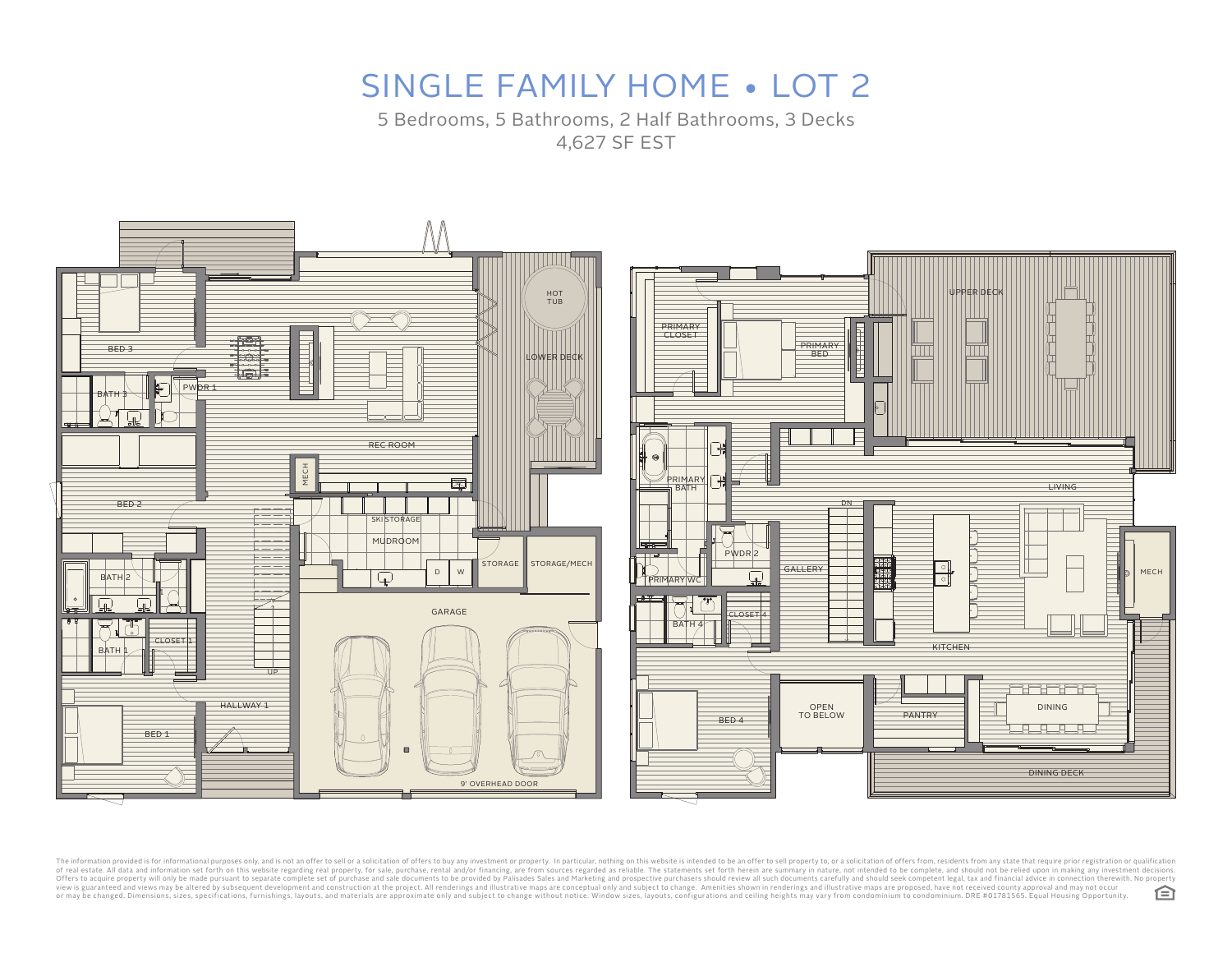5 Bedrooms, 5 Bathrooms, 2 Half Bathrooms, 3 Decks 4,627 SF EST



The information provided is for informational purposes only, and is not an offer to sell or a solicitation of offers to selicitation of offers to buy any investment or property. In particular, nothing on this website is in view is guaranteed and views may be altered by subsequent development and construction at the project. All renderings and illustrative maps are conceptual only and subject to change without notice. Window sizes, layouts, c 臼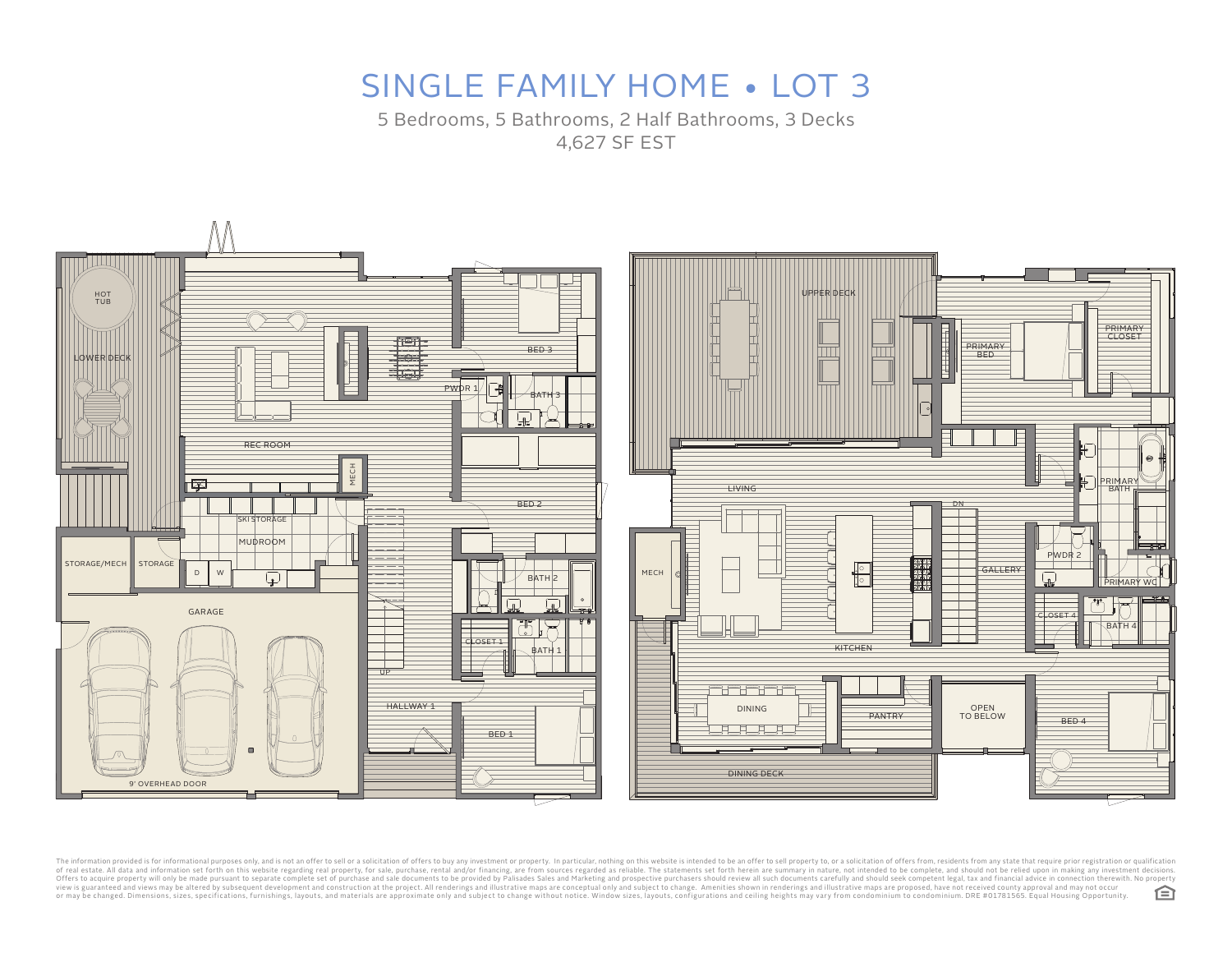5 Bedrooms, 5 Bathrooms, 2 Half Bathrooms, 3 Decks 4,627 SF EST



The information provided is for informational purposes only, and is not an offer to sell or a solicitation of offers to buy any investment or property. In particular, nothing on this website is intended to be an offer to s view is guaranteed and views may be altered by subsequent development and construction at the project. All renderings and illustrative maps are conceptual only and subject to change without notice. Window sizes, layouts, c 臼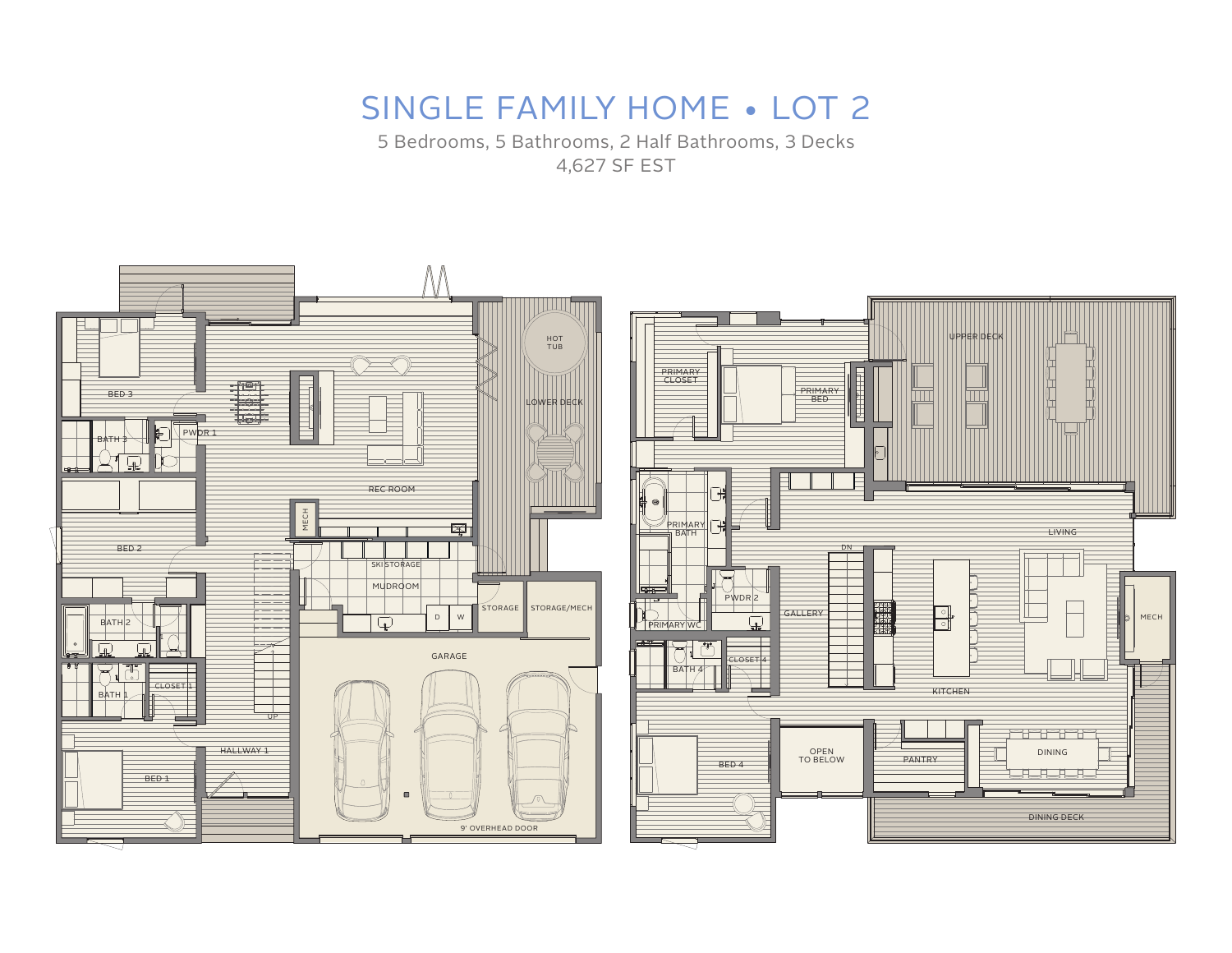5 Bedrooms, 5 Bathrooms, 2 Half Bathrooms, 3 Decks 4,627 SF EST